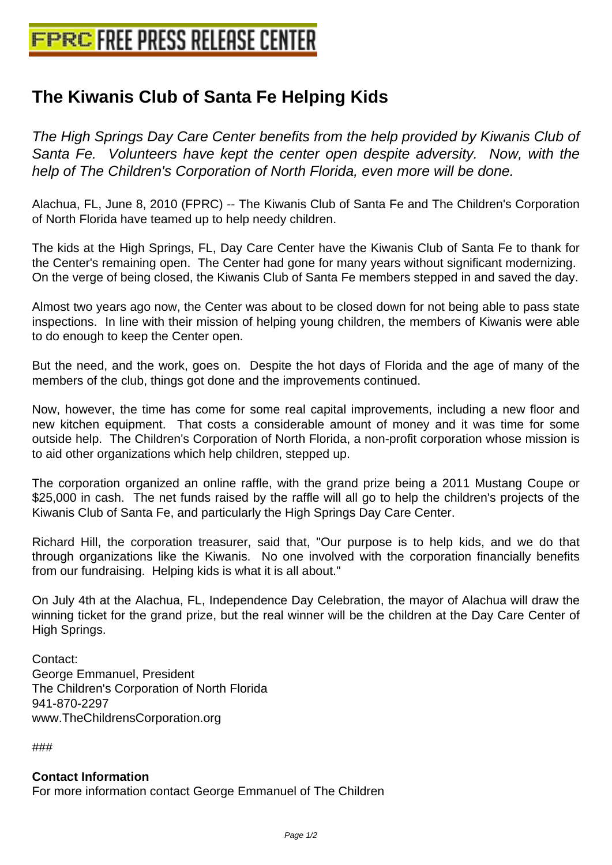## **[The Kiwanis Club of Santa Fe Help](http://www.free-press-release-center.info)ing Kids**

The High Springs Day Care Center benefits from the help provided by Kiwanis Club of Santa Fe. Volunteers have kept the center open despite adversity. Now, with the help of The Children's Corporation of North Florida, even more will be done.

Alachua, FL, June 8, 2010 (FPRC) -- The Kiwanis Club of Santa Fe and The Children's Corporation of North Florida have teamed up to help needy children.

The kids at the High Springs, FL, Day Care Center have the Kiwanis Club of Santa Fe to thank for the Center's remaining open. The Center had gone for many years without significant modernizing. On the verge of being closed, the Kiwanis Club of Santa Fe members stepped in and saved the day.

Almost two years ago now, the Center was about to be closed down for not being able to pass state inspections. In line with their mission of helping young children, the members of Kiwanis were able to do enough to keep the Center open.

But the need, and the work, goes on. Despite the hot days of Florida and the age of many of the members of the club, things got done and the improvements continued.

Now, however, the time has come for some real capital improvements, including a new floor and new kitchen equipment. That costs a considerable amount of money and it was time for some outside help. The Children's Corporation of North Florida, a non-profit corporation whose mission is to aid other organizations which help children, stepped up.

The corporation organized an online raffle, with the grand prize being a 2011 Mustang Coupe or \$25,000 in cash. The net funds raised by the raffle will all go to help the children's projects of the Kiwanis Club of Santa Fe, and particularly the High Springs Day Care Center.

Richard Hill, the corporation treasurer, said that, "Our purpose is to help kids, and we do that through organizations like the Kiwanis. No one involved with the corporation financially benefits from our fundraising. Helping kids is what it is all about."

On July 4th at the Alachua, FL, Independence Day Celebration, the mayor of Alachua will draw the winning ticket for the grand prize, but the real winner will be the children at the Day Care Center of High Springs.

Contact: George Emmanuel, President The Children's Corporation of North Florida 941-870-2297 www.TheChildrensCorporation.org

###

## **Contact Information**

For more information contact George Emmanuel of The Children